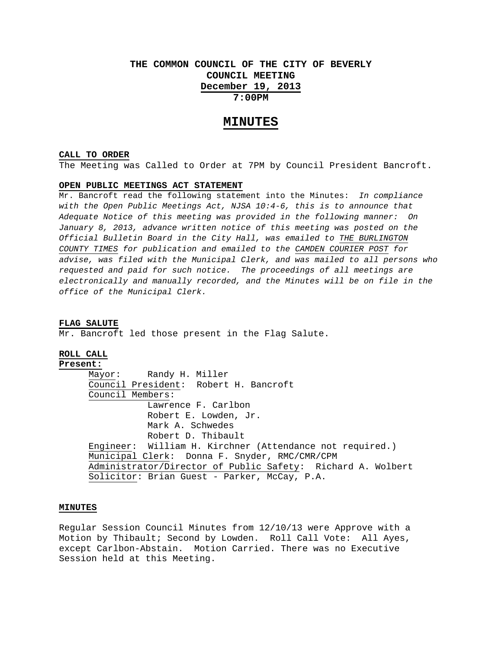# **THE COMMON COUNCIL OF THE CITY OF BEVERLY COUNCIL MEETING December 19, 2013 7:00PM**

## **MINUTES**

#### **CALL TO ORDER**

The Meeting was Called to Order at 7PM by Council President Bancroft.

## **OPEN PUBLIC MEETINGS ACT STATEMENT**

Mr. Bancroft read the following statement into the Minutes: *In compliance with the Open Public Meetings Act, NJSA 10:4-6, this is to announce that Adequate Notice of this meeting was provided in the following manner: On January 8, 2013, advance written notice of this meeting was posted on the Official Bulletin Board in the City Hall, was emailed to THE BURLINGTON COUNTY TIMES for publication and emailed to the CAMDEN COURIER POST for advise, was filed with the Municipal Clerk, and was mailed to all persons who requested and paid for such notice. The proceedings of all meetings are electronically and manually recorded, and the Minutes will be on file in the office of the Municipal Clerk.* 

## **FLAG SALUTE**

Mr. Bancroft led those present in the Flag Salute.

## **ROLL CALL**

**Present:** Mayor: Randy H. Miller Council President: Robert H. Bancroft Council Members: Lawrence F. Carlbon Robert E. Lowden, Jr. Mark A. Schwedes Robert D. Thibault Engineer: William H. Kirchner (Attendance not required.) Municipal Clerk: Donna F. Snyder, RMC/CMR/CPM Administrator/Director of Public Safety: Richard A. Wolbert Solicitor: Brian Guest - Parker, McCay, P.A.

## **MINUTES**

Regular Session Council Minutes from 12/10/13 were Approve with a Motion by Thibault; Second by Lowden. Roll Call Vote: All Ayes, except Carlbon-Abstain. Motion Carried. There was no Executive Session held at this Meeting.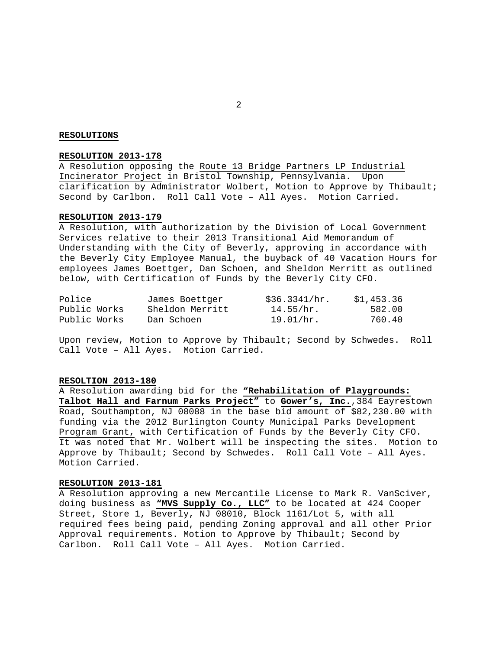### **RESOLUTIONS**

## **RESOLUTION 2013-178**

A Resolution opposing the Route 13 Bridge Partners LP Industrial Incinerator Project in Bristol Township, Pennsylvania. Upon clarification by Administrator Wolbert, Motion to Approve by Thibault; Second by Carlbon. Roll Call Vote – All Ayes. Motion Carried.

## **RESOLUTION 2013-179**

A Resolution, with authorization by the Division of Local Government Services relative to their 2013 Transitional Aid Memorandum of Understanding with the City of Beverly, approving in accordance with the Beverly City Employee Manual, the buyback of 40 Vacation Hours for employees James Boettger, Dan Schoen, and Sheldon Merritt as outlined below, with Certification of Funds by the Beverly City CFO.

| Police       | James Boettger  | \$36.3341/hr. | \$1,453.36 |
|--------------|-----------------|---------------|------------|
| Public Works | Sheldon Merritt | 14.55/hr.     | 582.00     |
| Public Works | Dan Schoen      | 19.01/hr.     | 760.40     |

Upon review, Motion to Approve by Thibault; Second by Schwedes. Roll Call Vote – All Ayes. Motion Carried.

#### **RESOLTION 2013-180**

A Resolution awarding bid for the **"Rehabilitation of Playgrounds: Talbot Hall and Farnum Parks Project"** to **Gower's, Inc.**,384 Eayrestown Road, Southampton, NJ 08088 in the base bid amount of \$82,230.00 with funding via the 2012 Burlington County Municipal Parks Development Program Grant, with Certification of Funds by the Beverly City CFO. It was noted that Mr. Wolbert will be inspecting the sites. Motion to Approve by Thibault; Second by Schwedes. Roll Call Vote – All Ayes. Motion Carried.

#### **RESOLUTION 2013-181**

A Resolution approving a new Mercantile License to Mark R. VanSciver, doing business as **"MVS Supply Co., LLC"** to be located at 424 Cooper Street, Store 1, Beverly, NJ 08010, Block 1161/Lot 5, with all required fees being paid, pending Zoning approval and all other Prior Approval requirements. Motion to Approve by Thibault; Second by Carlbon. Roll Call Vote – All Ayes. Motion Carried.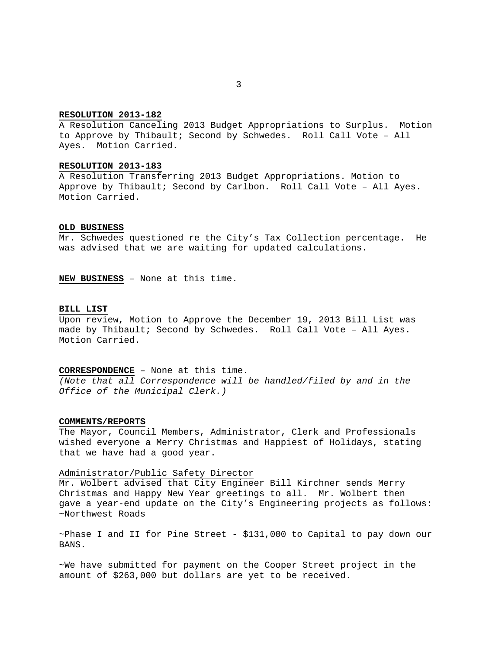## **RESOLUTION 2013-182**

A Resolution Canceling 2013 Budget Appropriations to Surplus. Motion to Approve by Thibault; Second by Schwedes. Roll Call Vote – All Ayes. Motion Carried.

## **RESOLUTION 2013-183**

A Resolution Transferring 2013 Budget Appropriations. Motion to Approve by Thibault; Second by Carlbon. Roll Call Vote – All Ayes. Motion Carried.

## **OLD BUSINESS**

Mr. Schwedes questioned re the City's Tax Collection percentage. He was advised that we are waiting for updated calculations.

**NEW BUSINESS** – None at this time.

#### **BILL LIST**

Upon review, Motion to Approve the December 19, 2013 Bill List was made by Thibault; Second by Schwedes. Roll Call Vote – All Ayes. Motion Carried.

**CORRESPONDENCE** – None at this time.

*(Note that all Correspondence will be handled/filed by and in the Office of the Municipal Clerk.)* 

## **COMMENTS/REPORTS**

The Mayor, Council Members, Administrator, Clerk and Professionals wished everyone a Merry Christmas and Happiest of Holidays, stating that we have had a good year.

## Administrator/Public Safety Director

Mr. Wolbert advised that City Engineer Bill Kirchner sends Merry Christmas and Happy New Year greetings to all. Mr. Wolbert then gave a year-end update on the City's Engineering projects as follows: ~Northwest Roads

 $\sim$ Phase I and II for Pine Street - \$131,000 to Capital to pay down our BANS.

~We have submitted for payment on the Cooper Street project in the amount of \$263,000 but dollars are yet to be received.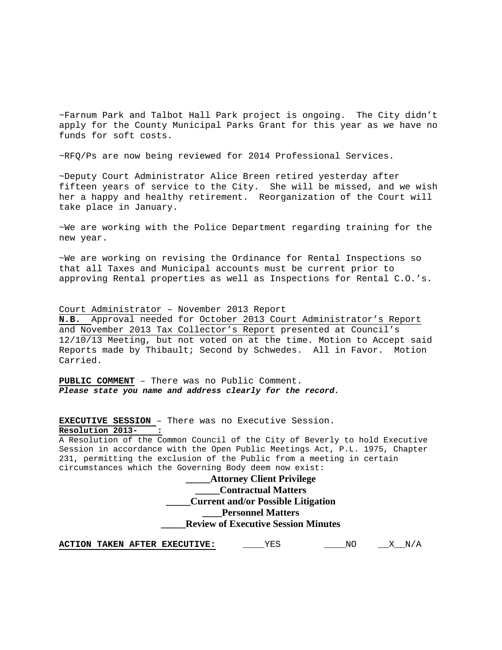~Farnum Park and Talbot Hall Park project is ongoing. The City didn't apply for the County Municipal Parks Grant for this year as we have no funds for soft costs.

~RFQ/Ps are now being reviewed for 2014 Professional Services.

~Deputy Court Administrator Alice Breen retired yesterday after fifteen years of service to the City. She will be missed, and we wish her a happy and healthy retirement. Reorganization of the Court will take place in January.

~We are working with the Police Department regarding training for the new year.

~We are working on revising the Ordinance for Rental Inspections so that all Taxes and Municipal accounts must be current prior to approving Rental properties as well as Inspections for Rental C.O.'s.

Court Administrator – November 2013 Report

**N.B.** Approval needed for October 2013 Court Administrator's Report and November 2013 Tax Collector's Report presented at Council's 12/10/13 Meeting, but not voted on at the time. Motion to Accept said Reports made by Thibault; Second by Schwedes. All in Favor. Motion Carried.

**PUBLIC COMMENT** – There was no Public Comment. *Please state you name and address clearly for the record.* 

**EXECUTIVE SESSION** – There was no Executive Session.

**Resolution 2013- :**

A Resolution of the Common Council of the City of Beverly to hold Executive Session in accordance with the Open Public Meetings Act, P.L. 1975, Chapter 231, permitting the exclusion of the Public from a meeting in certain circumstances which the Governing Body deem now exist:

> **\_\_\_\_\_Attorney Client Privilege \_\_\_\_\_Contractual Matters \_\_\_\_\_Current and/or Possible Litigation \_\_\_\_Personnel Matters \_\_\_\_\_Review of Executive Session Minutes**

**ACTION TAKEN AFTER EXECUTIVE:** \_\_\_\_\_YES \_\_\_\_\_NO \_\_\_X\_\_N/A